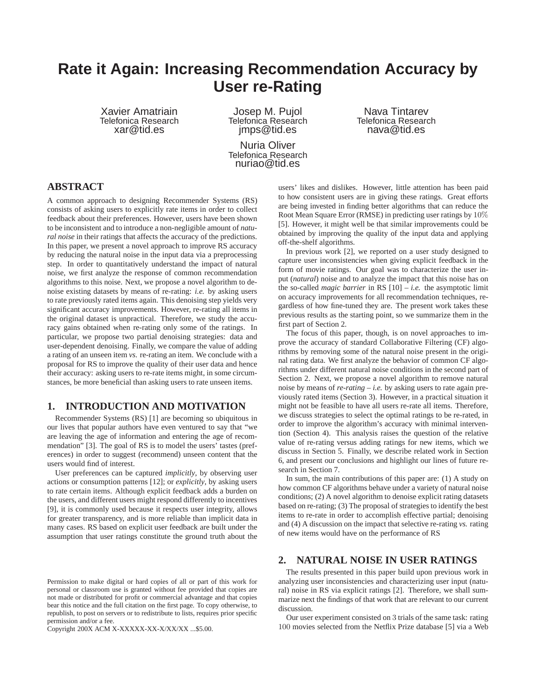# **Rate it Again: Increasing Recommendation Accuracy by User re-Rating**

Xavier Amatriain Telefonica Research xar@tid.es

Josep M. Pujol Telefonica Research jmps@tid.es

Nuria Oliver Telefonica Research nuriao@tid.es

Nava Tintarev Telefonica Research nava@tid.es

# **ABSTRACT**

A common approach to designing Recommender Systems (RS) consists of asking users to explicitly rate items in order to collect feedback about their preferences. However, users have been shown to be inconsistent and to introduce a non-negligible amount of *natural noise* in their ratings that affects the accuracy of the predictions. In this paper, we present a novel approach to improve RS accuracy by reducing the natural noise in the input data via a preprocessing step. In order to quantitatively understand the impact of natural noise, we first analyze the response of common recommendation algorithms to this noise. Next, we propose a novel algorithm to denoise existing datasets by means of re-rating: *i.e.* by asking users to rate previously rated items again. This denoising step yields very significant accuracy improvements. However, re-rating all items in the original dataset is unpractical. Therefore, we study the accuracy gains obtained when re-rating only some of the ratings. In particular, we propose two partial denoising strategies: data and user-dependent denoising. Finally, we compare the value of adding a rating of an unseen item *vs.* re-rating an item. We conclude with a proposal for RS to improve the quality of their user data and hence their accuracy: asking users to re-rate items might, in some circumstances, be more beneficial than asking users to rate unseen items.

# **1. INTRODUCTION AND MOTIVATION**

Recommender Systems (RS) [1] are becoming so ubiquitous in our lives that popular authors have even ventured to say that "we are leaving the age of information and entering the age of recommendation" [3]. The goal of RS is to model the users' tastes (preferences) in order to suggest (recommend) unseen content that the users would find of interest.

User preferences can be captured *implicitly*, by observing user actions or consumption patterns [12]; or *explicitly*, by asking users to rate certain items. Although explicit feedback adds a burden on the users, and different users might respond differently to incentives [9], it is commonly used because it respects user integrity, allows for greater transparency, and is more reliable than implicit data in many cases. RS based on explicit user feedback are built under the assumption that user ratings constitute the ground truth about the

Copyright 200X ACM X-XXXXX-XX-X/XX/XX ...\$5.00.

users' likes and dislikes. However, little attention has been paid to how consistent users are in giving these ratings. Great efforts are being invested in finding better algorithms that can reduce the Root Mean Square Error (RMSE) in predicting user ratings by 10% [5]. However, it might well be that similar improvements could be obtained by improving the quality of the input data and applying off-the-shelf algorithms.

In previous work [2], we reported on a user study designed to capture user inconsistencies when giving explicit feedback in the form of movie ratings. Our goal was to characterize the user input (*natural*) noise and to analyze the impact that this noise has on the so-called *magic barrier* in RS  $[10] - i.e.$  the asymptotic limit on accuracy improvements for all recommendation techniques, regardless of how fine-tuned they are. The present work takes these previous results as the starting point, so we summarize them in the first part of Section 2.

The focus of this paper, though, is on novel approaches to improve the accuracy of standard Collaborative Filtering (CF) algorithms by removing some of the natural noise present in the original rating data. We first analyze the behavior of common CF algorithms under different natural noise conditions in the second part of Section 2. Next, we propose a novel algorithm to remove natural noise by means of *re-rating* – *i.e.* by asking users to rate again previously rated items (Section 3). However, in a practical situation it might not be feasible to have all users re-rate all items. Therefore, we discuss strategies to select the optimal ratings to be re-rated, in order to improve the algorithm's accuracy with minimal intervention (Section 4). This analysis raises the question of the relative value of re-rating versus adding ratings for new items, which we discuss in Section 5. Finally, we describe related work in Section 6, and present our conclusions and highlight our lines of future research in Section 7.

In sum, the main contributions of this paper are: (1) A study on how common CF algorithms behave under a variety of natural noise conditions; (2) A novel algorithm to denoise explicit rating datasets based on re-rating; (3) The proposal of strategies to identify the best items to re-rate in order to accomplish effective partial; denoising and (4) A discussion on the impact that selective re-rating *vs.* rating of new items would have on the performance of RS

# **2. NATURAL NOISE IN USER RATINGS**

The results presented in this paper build upon previous work in analyzing user inconsistencies and characterizing user input (natural) noise in RS via explicit ratings [2]. Therefore, we shall summarize next the findings of that work that are relevant to our current discussion.

Our user experiment consisted on 3 trials of the same task: rating 100 movies selected from the Netflix Prize database [5] via a Web

Permission to make digital or hard copies of all or part of this work for personal or classroom use is granted without fee provided that copies are not made or distributed for profit or commercial advantage and that copies bear this notice and the full citation on the first page. To copy otherwise, to republish, to post on servers or to redistribute to lists, requires prior specific permission and/or a fee.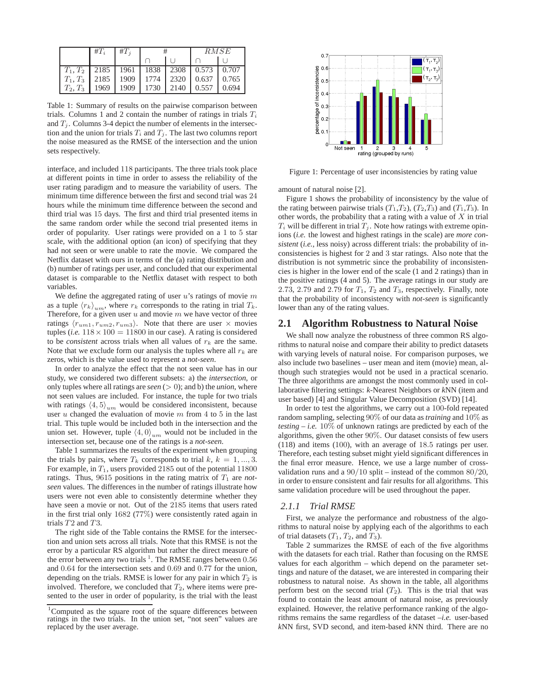|            | $\#T_i$ | $\#T_i$ | # |                 | RMSE                                      |       |
|------------|---------|---------|---|-----------------|-------------------------------------------|-------|
|            |         |         |   |                 |                                           |       |
| $T_1, T_2$ |         |         |   |                 | 2185   1961   1838   2308   0.573   0.707 |       |
| $T_1, T_3$ |         |         |   |                 | 2185   1909   1774   2320   0.637   0.765 |       |
| $T_2, T_3$ | 1969    | 1909    |   | 1730 2140 0.557 |                                           | 0.694 |

Table 1: Summary of results on the pairwise comparison between trials. Columns 1 and 2 contain the number of ratings in trials  $T_i$ and  $T_j$ . Columns 3-4 depict the number of elements in the intersection and the union for trials  $T_i$  and  $T_j$ . The last two columns report the noise measured as the RMSE of the intersection and the union sets respectively.

interface, and included 118 participants. The three trials took place at different points in time in order to assess the reliability of the user rating paradigm and to measure the variability of users. The minimum time difference between the first and second trial was 24 hours while the minimum time difference between the second and third trial was 15 days. The first and third trial presented items in the same random order while the second trial presented items in order of popularity. User ratings were provided on a 1 to 5 star scale, with the additional option (an icon) of specifying that they had not seen or were unable to rate the movie. We compared the Netflix dataset with ours in terms of the (a) rating distribution and (b) number of ratings per user, and concluded that our experimental dataset is comparable to the Netflix dataset with respect to both variables.

We define the aggregated rating of user  $u$ 's ratings of movie  $m$ as a tuple  $\langle r_k \rangle_{um}$ , where  $r_k$  corresponds to the rating in trial  $T_k$ . Therefore, for a given user  $u$  and movie  $m$  we have vector of three ratings  $\langle r_{um1}, r_{um2}, r_{um3} \rangle$ . Note that there are user  $\times$  movies tuples (*i.e.*  $118 \times 100 = 11800$  in our case). A rating is considered to be *consistent* across trials when all values of  $r_k$  are the same. Note that we exclude form our analysis the tuples where all  $r_k$  are zeros, which is the value used to represent a *not-seen*.

In order to analyze the effect that the not seen value has in our study, we considered two different subsets: a) the *intersection*, or only tuples where all ratings are  $seen (> 0)$ ; and b) the *union*, where not seen values are included. For instance, the tuple for two trials with ratings  $\langle 4, 5 \rangle_{um}$  would be considered inconsistent, because user  $u$  changed the evaluation of movie  $m$  from 4 to 5 in the last trial. This tuple would be included both in the intersection and the union set. However, tuple  $\langle 4, 0 \rangle_{um}$  would not be included in the intersection set, because one of the ratings is a *not-seen*.

Table 1 summarizes the results of the experiment when grouping the trials by pairs, where  $T_k$  corresponds to trial  $k, k = 1, ..., 3$ . For example, in  $T_1$ , users provided 2185 out of the potential 11800 ratings. Thus,  $9615$  positions in the rating matrix of  $T_1$  are *notseen* values. The differences in the number of ratings illustrate how users were not even able to consistently determine whether they have seen a movie or not. Out of the 2185 items that users rated in the first trial only 1682 (77%) were consistently rated again in trials T2 and T3.

The right side of the Table contains the RMSE for the intersection and union sets across all trials. Note that this RMSE is not the error by a particular RS algorithm but rather the direct measure of the error between any two trials  $^1$ . The RMSE ranges between 0.56 and 0.64 for the intersection sets and 0.69 and 0.77 for the union, depending on the trials. RMSE is lower for any pair in which  $T_2$  is involved. Therefore, we concluded that  $T_2$ , where items were presented to the user in order of popularity, is the trial with the least



Figure 1: Percentage of user inconsistencies by rating value

amount of natural noise [2].

Figure 1 shows the probability of inconsistency by the value of the rating between pairwise trials  $(T_1, T_2)$ ,  $(T_2, T_3)$  and  $(T_1, T_3)$ . In other words, the probability that a rating with a value of  $X$  in trial  $T_i$  will be different in trial  $T_j$ . Note how ratings with extreme opinions (*i.e.* the lowest and highest ratings in the scale) are *more consistent* (*i.e.,* less noisy) across different trials: the probability of inconsistencies is highest for 2 and 3 star ratings. Also note that the distribution is not symmetric since the probability of inconsistencies is higher in the lower end of the scale (1 and 2 ratings) than in the positive ratings (4 and 5). The average ratings in our study are 2.73, 2.79 and 2.79 for  $T_1$ ,  $T_2$  and  $T_3$ , respectively. Finally, note that the probability of inconsistency with *not-seen* is significantly lower than any of the rating values.

### **2.1 Algorithm Robustness to Natural Noise**

We shall now analyze the robustness of three common RS algorithms to natural noise and compare their ability to predict datasets with varying levels of natural noise. For comparison purposes, we also include two baselines – user mean and item (movie) mean, although such strategies would not be used in a practical scenario. The three algorithms are amongst the most commonly used in collaborative filtering settings: *k*-Nearest Neighbors or *k*NN (item and user based) [4] and Singular Value Decomposition (SVD) [14].

In order to test the algorithms, we carry out a 100-fold repeated random sampling, selecting 90% of our data as *training* and 10% as *testing* – *i.e.* 10% of unknown ratings are predicted by each of the algorithms, given the other 90%. Our dataset consists of few users (118) and items (100), with an average of 18.5 ratings per user. Therefore, each testing subset might yield significant differences in the final error measure. Hence, we use a large number of crossvalidation runs and a 90/10 split – instead of the common 80/20, in order to ensure consistent and fair results for all algorithms. This same validation procedure will be used throughout the paper.

#### *2.1.1 Trial RMSE*

First, we analyze the performance and robustness of the algorithms to natural noise by applying each of the algorithms to each of trial datasets  $(T_1, T_2, \text{ and } T_3)$ .

Table 2 summarizes the RMSE of each of the five algorithms with the datasets for each trial. Rather than focusing on the RMSE values for each algorithm – which depend on the parameter settings and nature of the dataset, we are interested in comparing their robustness to natural noise. As shown in the table, all algorithms perform best on the second trial  $(T_2)$ . This is the trial that was found to contain the least amount of natural noise, as previously explained. However, the relative performance ranking of the algorithms remains the same regardless of the dataset –*i.e.* user-based *k*NN first, SVD second, and item-based *k*NN third. There are no

<sup>&</sup>lt;sup>1</sup>Computed as the square root of the square differences between ratings in the two trials. In the union set, "not seen" values are replaced by the user average.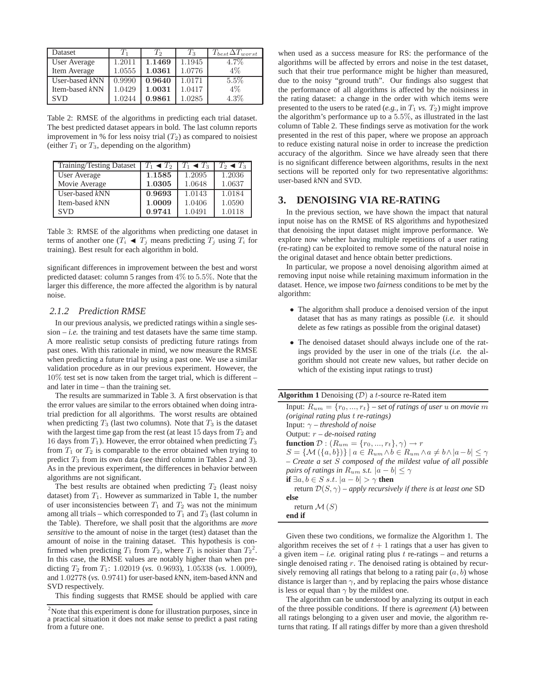| Dataset             | $T_1$  | $T_2$  | $T_3$  | $T_{best} \Delta T_{worst}$ |
|---------------------|--------|--------|--------|-----------------------------|
| <b>User Average</b> | 1.2011 | 1.1469 | 1.1945 | 4.7%                        |
| Item Average        | 1.0555 | 1.0361 | 1.0776 | $4\%$                       |
| User-based $kNN$    | 0.9990 | 0.9640 | 1.0171 | 5.5%                        |
| Item-based kNN      | 1.0429 | 1.0031 | 1.0417 | $4\%$                       |
| <b>SVD</b>          | 1.0244 | 0.9861 | 1.0285 | 4.3%                        |

Table 2: RMSE of the algorithms in predicting each trial dataset. The best predicted dataset appears in bold. The last column reports improvement in % for less noisy trial  $(T_2)$  as compared to noisiest (either  $T_1$  or  $T_3$ , depending on the algorithm)

| Training/Testing Dataset | $T_1 \triangleleft T_2$ | $T_1 \blacktriangleleft T_3$ | $T_2 \blacktriangleleft T_3$ |
|--------------------------|-------------------------|------------------------------|------------------------------|
| User Average             | 1.1585                  | 1.2095                       | 1.2036                       |
| Movie Average            | 1.0305                  | 1.0648                       | 1.0637                       |
| User-based $kNN$         | 0.9693                  | 1.0143                       | 1.0184                       |
| Item-based kNN           | 1.0009                  | 1.0406                       | 1.0590                       |
| <b>SVD</b>               | 0.9741                  | 1.0491                       | 1.0118                       |

Table 3: RMSE of the algorithms when predicting one dataset in terms of another one  $(T_i \triangleleft T_j \text{ means predicting } T_j \text{ using } T_i \text{ for }$ training). Best result for each algorithm in bold.

significant differences in improvement between the best and worst predicted dataset: column 5 ranges from 4% to 5.5%. Note that the larger this difference, the more affected the algorithm is by natural noise.

#### *2.1.2 Prediction RMSE*

In our previous analysis, we predicted ratings within a single ses $sion - i.e.$  the training and test datasets have the same time stamp. A more realistic setup consists of predicting future ratings from past ones. With this rationale in mind, we now measure the RMSE when predicting a future trial by using a past one. We use a similar validation procedure as in our previous experiment. However, the  $10\%$  test set is now taken from the target trial, which is different – and later in time – than the training set.

The results are summarized in Table 3. A first observation is that the error values are similar to the errors obtained when doing intratrial prediction for all algorithms. The worst results are obtained when predicting  $T_3$  (last two columns). Note that  $T_3$  is the dataset with the largest time gap from the rest (at least 15 days from  $T_2$  and 16 days from  $T_1$ ). However, the error obtained when predicting  $T_3$ from  $T_1$  or  $T_2$  is comparable to the error obtained when trying to predict  $T_3$  from its own data (see third column in Tables 2 and 3). As in the previous experiment, the differences in behavior between algorithms are not significant.

The best results are obtained when predicting  $T_2$  (least noisy dataset) from  $T_1$ . However as summarized in Table 1, the number of user inconsistencies between  $T_1$  and  $T_2$  was not the minimum among all trials – which corresponded to  $T_1$  and  $T_3$  (last column in the Table). Therefore, we shall posit that the algorithms are *more sensitive* to the amount of noise in the target (test) dataset than the amount of noise in the training dataset. This hypothesis is confirmed when predicting  $T_1$  from  $T_2$ , where  $T_1$  is noisier than  $T_2^2$ . In this case, the RMSE values are notably higher than when predicting T<sup>2</sup> from T1: 1.02019 (*vs.* 0.9693), 1.05338 (*vs.* 1.0009), and 1.02778 (*vs.* 0.9741) for user-based *k*NN, item-based *k*NN and SVD respectively.

This finding suggests that RMSE should be applied with care

when used as a success measure for RS: the performance of the algorithms will be affected by errors and noise in the test dataset, such that their true performance might be higher than measured, due to the noisy "ground truth". Our findings also suggest that the performance of all algorithms is affected by the noisiness in the rating dataset: a change in the order with which items were presented to the users to be rated (*e.g.*, in  $T_1$  *vs.*  $T_2$ ) might improve the algorithm's performance up to a 5.5%, as illustrated in the last column of Table 2. These findings serve as motivation for the work presented in the rest of this paper, where we propose an approach to reduce existing natural noise in order to increase the prediction accuracy of the algorithm. Since we have already seen that there is no significant difference between algorithms, results in the next sections will be reported only for two representative algorithms: user-based *k*NN and SVD.

### **3. DENOISING VIA RE-RATING**

In the previous section, we have shown the impact that natural input noise has on the RMSE of RS algorithms and hypothesized that denoising the input dataset might improve performance. We explore now whether having multiple repetitions of a user rating (re-rating) can be exploited to remove some of the natural noise in the original dataset and hence obtain better predictions.

In particular, we propose a novel denoising algorithm aimed at removing input noise while retaining maximum information in the dataset. Hence, we impose two *fairness* conditions to be met by the algorithm:

- The algorithm shall produce a denoised version of the input dataset that has as many ratings as possible (*i.e.* it should delete as few ratings as possible from the original dataset)
- The denoised dataset should always include one of the ratings provided by the user in one of the trials (*i.e.* the algorithm should not create new values, but rather decide on which of the existing input ratings to trust)

| <b>Algorithm 1</b> Denoising $(D)$ a <i>t</i> -source re-Rated item                                             |
|-----------------------------------------------------------------------------------------------------------------|
| Input: $R_{um} = \{r_0, , r_t\}$ – set of ratings of user u on movie m                                          |
| ( <i>original rating plus t re-ratings</i> )                                                                    |
| Input: $\gamma$ – threshold of noise                                                                            |
| Output: $r-de-noised rating$                                                                                    |
| <b>function</b> $\mathcal{D}: (R_{um} = \{r_0, , r_t\}, \gamma) \rightarrow r$                                  |
| $S = \{ \mathcal{M}(\{a,b\}) \} \mid a \in R_{um} \wedge b \in R_{um} \wedge a \neq b \wedge  a-b  \leq \gamma$ |
| $\overline{a}$ - Create a set S composed of the mildest value of all possible                                   |
| pairs of ratings in $R_{um}$ s.t. $ a-b  \leq \gamma$                                                           |
| if $\exists a, b \in S \ s.t. \  a-b  > \gamma$ then                                                            |
| return $\mathcal{D}(S,\gamma)$ – apply recursively if there is at least one SD                                  |
| else                                                                                                            |
| return $\mathcal{M}(S)$                                                                                         |
| end if                                                                                                          |

Given these two conditions, we formalize the Algorithm 1. The algorithm receives the set of  $t + 1$  ratings that a user has given to a given item  $- i.e.$  original rating plus  $t$  re-ratings  $-$  and returns a single denoised rating r. The denoised rating is obtained by recursively removing all ratings that belong to a rating pair  $(a, b)$  whose distance is larger than  $\gamma$ , and by replacing the pairs whose distance is less or equal than  $\gamma$  by the mildest one.

The algorithm can be understood by analyzing its output in each of the three possible conditions. If there is *agreement* (*A*) between all ratings belonging to a given user and movie, the algorithm returns that rating. If all ratings differ by more than a given threshold

<sup>&</sup>lt;sup>2</sup>Note that this experiment is done for illustration purposes, since in a practical situation it does not make sense to predict a past rating from a future one.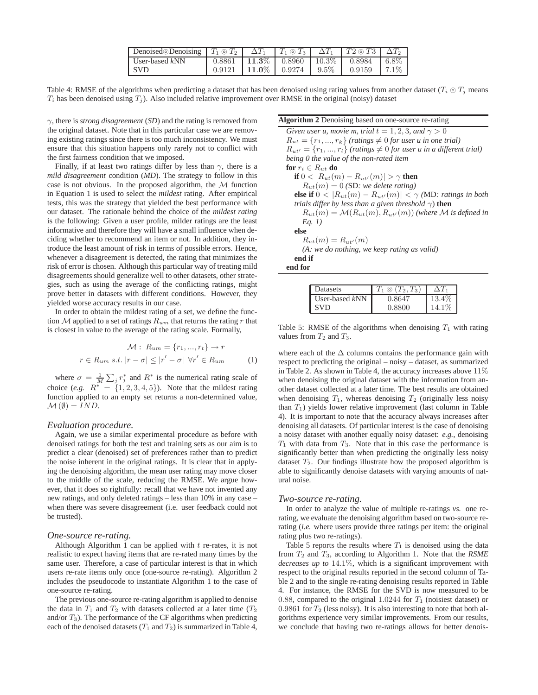| Denoised Denoising $T_1 \odot T_2$ | $\Delta T_1$ | $T_1 \otimes T_3$ $\Delta T_1$     | $T2 \odot T3$ $\Delta T_2$                           |          |
|------------------------------------|--------------|------------------------------------|------------------------------------------------------|----------|
| User-based $kNN$                   |              |                                    | $0.8861$   11.3\%   0.8960   10.3\%   0.8984   6.8\% |          |
| I SVD                              |              | $0.9121$   11.0\%   0.9274   9.5\% | 0.9159                                               | $17.1\%$ |

Table 4: RMSE of the algorithms when predicting a dataset that has been denoised using rating values from another dataset ( $T_i \otimes T_j$  means  $T_i$  has been denoised using  $T_i$ ). Also included relative improvement over RMSE in the original (noisy) dataset

γ, there is *strong disagreement* (*SD*) and the rating is removed from the original dataset. Note that in this particular case we are removing existing ratings since there is too much inconsistency. We must ensure that this situation happens only rarely not to conflict with the first fairness condition that we imposed.

Finally, if at least two ratings differ by less than  $\gamma$ , there is a *mild disagreement* condition (*MD*). The strategy to follow in this case is not obvious. In the proposed algorithm, the  $M$  function in Equation 1 is used to select the *mildest* rating. After empirical tests, this was the strategy that yielded the best performance with our dataset. The rationale behind the choice of the *mildest rating* is the following: Given a user profile, milder ratings are the least informative and therefore they will have a small influence when deciding whether to recommend an item or not. In addition, they introduce the least amount of risk in terms of possible errors. Hence, whenever a disagreement is detected, the rating that minimizes the risk of error is chosen. Although this particular way of treating mild disagreements should generalize well to other datasets, other strategies, such as using the average of the conflicting ratings, might prove better in datasets with different conditions. However, they yielded worse accuracy results in our case.

In order to obtain the mildest rating of a set, we define the function M applied to a set of ratings  $R_{um}$  that returns the rating r that is closest in value to the average of the rating scale. Formally,

$$
\mathcal{M}: R_{um} = \{r_1, ..., r_t\} \to r
$$
  

$$
r \in R_{um} \ s.t. |r - \sigma| \le |r' - \sigma| \ \forall r' \in R_{um} \tag{1}
$$

where  $\sigma = \frac{1}{M} \sum_j r_j^*$  and  $R^*$  is the numerical rating scale of choice (*e.g.*  $R^* = \{1, 2, 3, 4, 5\}$ ). Note that the mildest rating function applied to an empty set returns a non-determined value,  $M(\emptyset) = IND.$ 

#### *Evaluation procedure.*

Again, we use a similar experimental procedure as before with denoised ratings for both the test and training sets as our aim is to predict a clear (denoised) set of preferences rather than to predict the noise inherent in the original ratings. It is clear that in applying the denoising algorithm, the mean user rating may move closer to the middle of the scale, reducing the RMSE. We argue however, that it does so rightfully: recall that we have not invented any new ratings, and only deleted ratings – less than 10% in any case – when there was severe disagreement (i.e. user feedback could not be trusted).

#### *One-source re-rating.*

Although Algorithm 1 can be applied with  $t$  re-rates, it is not realistic to expect having items that are re-rated many times by the same user. Therefore, a case of particular interest is that in which users re-rate items only once (one-source re-rating). Algorithm 2 includes the pseudocode to instantiate Algorithm 1 to the case of one-source re-rating.

The previous one-source re-rating algorithm is applied to denoise the data in  $T_1$  and  $T_2$  with datasets collected at a later time  $(T_2)$ and/or  $T_3$ ). The performance of the CF algorithms when predicting each of the denoised datasets ( $T_1$  and  $T_2$ ) is summarized in Table 4,

### **Algorithm 2** Denoising based on one-source re-rating

*Given user u, movie m, trial*  $t = 1, 2, 3$ *, and*  $\gamma > 0$  $R_{ut} = \{r_1, ..., r_k\}$  (ratings  $\neq 0$  for user *u* in one trial)  $R_{ut'} = \{r_1, ..., r_l\}$  (ratings  $\neq 0$  for user u in a different trial) *being 0 the value of the non-rated item* **for**  $r_i \in R_{ut}$  **do if**  $0 < |R_{ut}(m) - R_{ut'}(m)| > \gamma$  **then**  $R_{ut}(m) = 0$  *(SD: we delete rating)* **else if**  $0 < |R_{ut}(m) - R_{ut'}(m)| < \gamma$  *(MD: ratings in both*) *trials differ by less than a given threshold*  $\gamma$ ) **then**  $R_{ut}(m) = \mathcal{M}(R_{ut}(m), R_{ut'}(m))$  *(where*  $\mathcal M$  *is defined in Eq. 1)* **else**  $R_{ut}(m) = R_{ut'}(m)$ *(A: we do nothing, we keep rating as valid)* **end if end for**

| <b>Datasets</b> | $\circ$ $(1, 1)$ |      |
|-----------------|------------------|------|
| User-based kNN  | 0.8647           | 13.4 |
| VD              | ്ട്യ വ<br>0. X   | 1 UZ |

Table 5: RMSE of the algorithms when denoising  $T_1$  with rating values from  $T_2$  and  $T_3$ .

where each of the  $\Delta$  columns contains the performance gain with respect to predicting the original – noisy – dataset, as summarized in Table 2. As shown in Table 4, the accuracy increases above  $11\%$ when denoising the original dataset with the information from another dataset collected at a later time. The best results are obtained when denoising  $T_1$ , whereas denoising  $T_2$  (originally less noisy than  $T_1$ ) yields lower relative improvement (last column in Table 4). It is important to note that the accuracy always increases after denoising all datasets. Of particular interest is the case of denoising a noisy dataset with another equally noisy dataset: *e.g.,* denoising  $T_1$  with data from  $T_3$ . Note that in this case the performance is significantly better than when predicting the originally less noisy dataset  $T_2$ . Our findings illustrate how the proposed algorithm is able to significantly denoise datasets with varying amounts of natural noise.

#### *Two-source re-rating.*

In order to analyze the value of multiple re-ratings *vs.* one rerating, we evaluate the denoising algorithm based on two-source rerating (*i.e.* where users provide three ratings per item: the original rating plus two re-ratings).

Table 5 reports the results where  $T_1$  is denoised using the data from T<sup>2</sup> and T3, according to Algorithm 1. Note that the *RSME decreases up to* 14.1%, which is a significant improvement with respect to the original results reported in the second column of Table 2 and to the single re-rating denoising results reported in Table 4. For instance, the RMSE for the SVD is now measured to be 0.88, compared to the original 1.0244 for  $T_1$  (noisiest dataset) or 0.9861 for  $T_2$  (less noisy). It is also interesting to note that both algorithms experience very similar improvements. From our results, we conclude that having two re-ratings allows for better denois-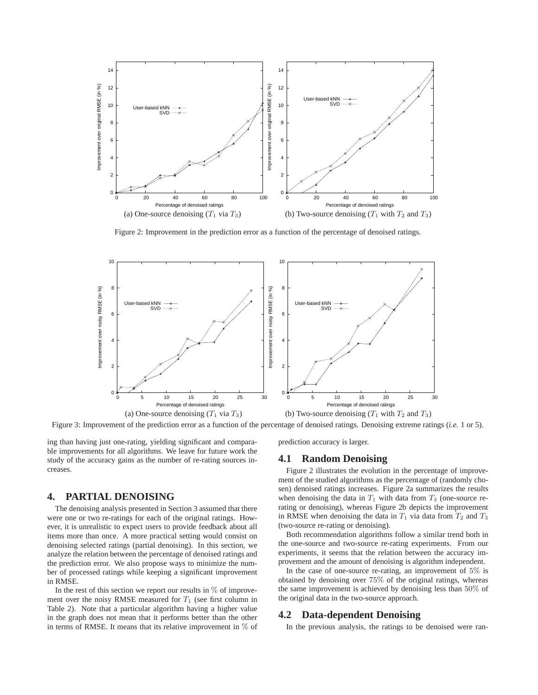

Figure 2: Improvement in the prediction error as a function of the percentage of denoised ratings.



Figure 3: Improvement of the prediction error as a function of the percentage of denoised ratings. Denoising extreme ratings (*i.e.* 1 or 5).

ing than having just one-rating, yielding significant and comparable improvements for all algorithms. We leave for future work the study of the accuracy gains as the number of re-rating sources increases.

# **4. PARTIAL DENOISING**

The denoising analysis presented in Section 3 assumed that there were one or two re-ratings for each of the original ratings. However, it is unrealistic to expect users to provide feedback about all items more than once. A more practical setting would consist on denoising selected ratings (partial denoising). In this section, we analyze the relation between the percentage of denoised ratings and the prediction error. We also propose ways to minimize the number of processed ratings while keeping a significant improvement in RMSE.

In the rest of this section we report our results in  $\%$  of improvement over the noisy RMSE measured for  $T_1$  (see first column in Table 2). Note that a particular algorithm having a higher value in the graph does not mean that it performs better than the other in terms of RMSE. It means that its relative improvement in  $\%$  of prediction accuracy is larger.

### **4.1 Random Denoising**

Figure 2 illustrates the evolution in the percentage of improvement of the studied algorithms as the percentage of (randomly chosen) denoised ratings increases. Figure 2a summarizes the results when denoising the data in  $T_1$  with data from  $T_3$  (one-source rerating or denoising), whereas Figure 2b depicts the improvement in RMSE when denoising the data in  $T_1$  via data from  $T_2$  and  $T_3$ (two-source re-rating or denoising).

Both recommendation algorithms follow a similar trend both in the one-source and two-source re-rating experiments. From our experiments, it seems that the relation between the accuracy improvement and the amount of denoising is algorithm independent.

In the case of one-source re-rating, an improvement of  $5\%$  is obtained by denoising over 75% of the original ratings, whereas the same improvement is achieved by denoising less than 50% of the original data in the two-source approach.

### **4.2 Data-dependent Denoising**

In the previous analysis, the ratings to be denoised were ran-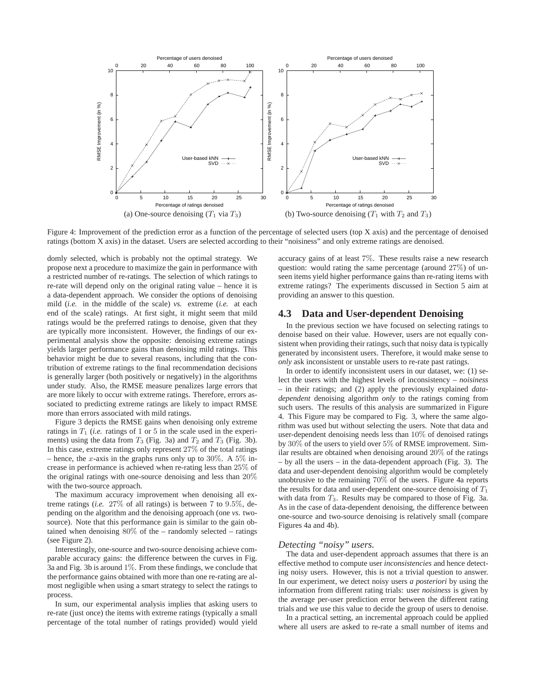

Figure 4: Improvement of the prediction error as a function of the percentage of selected users (top X axis) and the percentage of denoised ratings (bottom X axis) in the dataset. Users are selected according to their "noisiness" and only extreme ratings are denoised.

domly selected, which is probably not the optimal strategy. We propose next a procedure to maximize the gain in performance with a restricted number of re-ratings. The selection of which ratings to re-rate will depend only on the original rating value – hence it is a data-dependent approach. We consider the options of denoising mild (*i.e.* in the middle of the scale) *vs.* extreme (*i.e.* at each end of the scale) ratings. At first sight, it might seem that mild ratings would be the preferred ratings to denoise, given that they are typically more inconsistent. However, the findings of our experimental analysis show the opposite: denoising extreme ratings yields larger performance gains than denoising mild ratings. This behavior might be due to several reasons, including that the contribution of extreme ratings to the final recommendation decisions is generally larger (both positively or negatively) in the algorithms under study. Also, the RMSE measure penalizes large errors that are more likely to occur with extreme ratings. Therefore, errors associated to predicting extreme ratings are likely to impact RMSE more than errors associated with mild ratings.

Figure 3 depicts the RMSE gains when denoising only extreme ratings in  $T_1$  (*i.e.* ratings of 1 or 5 in the scale used in the experiments) using the data from  $T_3$  (Fig. 3a) and  $T_2$  and  $T_3$  (Fig. 3b). In this case, extreme ratings only represent 27% of the total ratings – hence, the x-axis in the graphs runs only up to 30%. A 5% increase in performance is achieved when re-rating less than 25% of the original ratings with one-source denoising and less than 20% with the two-source approach.

The maximum accuracy improvement when denoising all extreme ratings (*i.e.* 27% of all ratings) is between 7 to 9.5%, depending on the algorithm and the denoising approach (one *vs.* twosource). Note that this performance gain is similar to the gain obtained when denoising 80% of the – randomly selected – ratings (see Figure 2).

Interestingly, one-source and two-source denoising achieve comparable accuracy gains: the difference between the curves in Fig. 3a and Fig. 3b is around  $1\%$ . From these findings, we conclude that the performance gains obtained with more than one re-rating are almost negligible when using a smart strategy to select the ratings to process.

In sum, our experimental analysis implies that asking users to re-rate (just once) the items with extreme ratings (typically a small percentage of the total number of ratings provided) would yield accuracy gains of at least 7%. These results raise a new research question: would rating the same percentage (around 27%) of unseen items yield higher performance gains than re-rating items with extreme ratings? The experiments discussed in Section 5 aim at providing an answer to this question.

### **4.3 Data and User-dependent Denoising**

In the previous section we have focused on selecting ratings to denoise based on their value. However, users are not equally consistent when providing their ratings, such that noisy data is typically generated by inconsistent users. Therefore, it would make sense to *only* ask inconsistent or unstable users to re-rate past ratings.

In order to identify inconsistent users in our dataset, we: (1) select the users with the highest levels of inconsistency – *noisiness* – in their ratings; and (2) apply the previously explained *datadependent* denoising algorithm *only* to the ratings coming from such users. The results of this analysis are summarized in Figure 4. This Figure may be compared to Fig. 3, where the same algorithm was used but without selecting the users. Note that data and user-dependent denoising needs less than 10% of denoised ratings by 30% of the users to yield over 5% of RMSE improvement. Similar results are obtained when denoising around 20% of the ratings – by all the users – in the data-dependent approach (Fig. 3). The data and user-dependent denoising algorithm would be completely unobtrusive to the remaining 70% of the users. Figure 4a reports the results for data and user-dependent one-source denoising of  $T_1$ with data from  $T_3$ . Results may be compared to those of Fig. 3a. As in the case of data-dependent denoising, the difference between one-source and two-source denoising is relatively small (compare Figures 4a and 4b).

### *Detecting "noisy" users.*

The data and user-dependent approach assumes that there is an effective method to compute user *inconsistencies* and hence detecting noisy users. However, this is not a trivial question to answer. In our experiment, we detect noisy users *a posteriori* by using the information from different rating trials: user *noisiness* is given by the average per-user prediction error between the different rating trials and we use this value to decide the group of users to denoise.

In a practical setting, an incremental approach could be applied where all users are asked to re-rate a small number of items and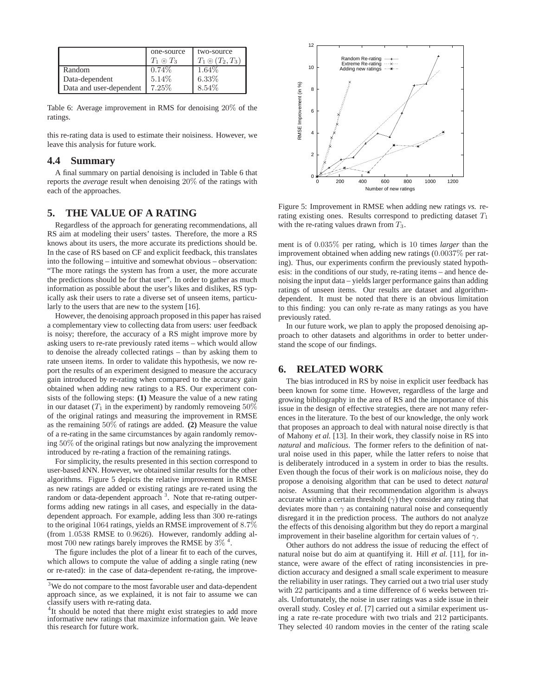|                         | one-source             | two-source            |
|-------------------------|------------------------|-----------------------|
|                         | $T_1 \circledcirc T_3$ | $T_1 \circ (T_2,T_3)$ |
| Random                  | 0.74%                  | $1.64\%$              |
| Data-dependent          | 5.14%                  | $6.33\%$              |
| Data and user-dependent | 7.25%                  | 8.54%                 |

Table 6: Average improvement in RMS for denoising 20% of the ratings.

this re-rating data is used to estimate their noisiness. However, we leave this analysis for future work.

#### **4.4 Summary**

A final summary on partial denoising is included in Table 6 that reports the *average* result when denoising 20% of the ratings with each of the approaches.

# **5. THE VALUE OF A RATING**

Regardless of the approach for generating recommendations, all RS aim at modeling their users' tastes. Therefore, the more a RS knows about its users, the more accurate its predictions should be. In the case of RS based on CF and explicit feedback, this translates into the following – intuitive and somewhat obvious – observation: "The more ratings the system has from a user, the more accurate the predictions should be for that user". In order to gather as much information as possible about the user's likes and dislikes, RS typically ask their users to rate a diverse set of unseen items, particularly to the users that are new to the system [16].

However, the denoising approach proposed in this paper has raised a complementary view to collecting data from users: user feedback is noisy; therefore, the accuracy of a RS might improve more by asking users to re-rate previously rated items – which would allow to denoise the already collected ratings – than by asking them to rate unseen items. In order to validate this hypothesis, we now report the results of an experiment designed to measure the accuracy gain introduced by re-rating when compared to the accuracy gain obtained when adding new ratings to a RS. Our experiment consists of the following steps: **(1)** Measure the value of a new rating in our dataset  $(T_1$  in the experiment) by randomly removeing 50% of the original ratings and measuring the improvement in RMSE as the remaining 50% of ratings are added. **(2)** Measure the value of a re-rating in the same circumstances by again randomly removing 50% of the original ratings but now analyzing the improvement introduced by re-rating a fraction of the remaining ratings.

For simplicity, the results presented in this section correspond to user-based *k*NN. However, we obtained similar results for the other algorithms. Figure 5 depicts the relative improvement in RMSE as new ratings are added or existing ratings are re-rated using the random or data-dependent approach<sup>3</sup>. Note that re-rating outperforms adding new ratings in all cases, and especially in the datadependent approach. For example, adding less than 300 re-ratings to the original 1064 ratings, yields an RMSE improvement of 8.7% (from 1.0538 RMSE to 0.9626). However, randomly adding almost 700 new ratings barely improves the RMSE by  $3\%$ <sup>4</sup>.

The figure includes the plot of a linear fit to each of the curves, which allows to compute the value of adding a single rating (new or re-rated): in the case of data-dependent re-rating, the improve-



Figure 5: Improvement in RMSE when adding new ratings *vs.* rerating existing ones. Results correspond to predicting dataset  $T_1$ with the re-rating values drawn from  $T_3$ .

ment is of 0.035% per rating, which is 10 times *larger* than the improvement obtained when adding new ratings (0.0037% per rating). Thus, our experiments confirm the previously stated hypothesis: in the conditions of our study, re-rating items – and hence denoising the input data – yields larger performance gains than adding ratings of unseen items. Our results are dataset and algorithmdependent. It must be noted that there is an obvious limitation to this finding: you can only re-rate as many ratings as you have previously rated.

In our future work, we plan to apply the proposed denoising approach to other datasets and algorithms in order to better understand the scope of our findings.

### **6. RELATED WORK**

The bias introduced in RS by noise in explicit user feedback has been known for some time. However, regardless of the large and growing bibliography in the area of RS and the importance of this issue in the design of effective strategies, there are not many references in the literature. To the best of our knowledge, the only work that proposes an approach to deal with natural noise directly is that of Mahony *et al.* [13]. In their work, they classify noise in RS into *natural* and *malicious*. The former refers to the definition of natural noise used in this paper, while the latter refers to noise that is deliberately introduced in a system in order to bias the results. Even though the focus of their work is on *malicious* noise, they do propose a denoising algorithm that can be used to detect *natural* noise. Assuming that their recommendation algorithm is always accurate within a certain threshold  $(\gamma)$  they consider any rating that deviates more than  $\gamma$  as containing natural noise and consequently disregard it in the prediction process. The authors do not analyze the effects of this denoising algorithm but they do report a marginal improvement in their baseline algorithm for certain values of  $\gamma$ .

Other authors do not address the issue of reducing the effect of natural noise but do aim at quantifying it. Hill *et al.* [11], for instance, were aware of the effect of rating inconsistencies in prediction accuracy and designed a small scale experiment to measure the reliability in user ratings. They carried out a two trial user study with 22 participants and a time difference of 6 weeks between trials. Unfortunately, the noise in user ratings was a side issue in their overall study. Cosley *et al.* [7] carried out a similar experiment using a rate re-rate procedure with two trials and 212 participants. They selected 40 random movies in the center of the rating scale

<sup>&</sup>lt;sup>3</sup>We do not compare to the most favorable user and data-dependent approach since, as we explained, it is not fair to assume we can classify users with re-rating data.

<sup>&</sup>lt;sup>4</sup>It should be noted that there might exist strategies to add more informative new ratings that maximize information gain. We leave this research for future work.